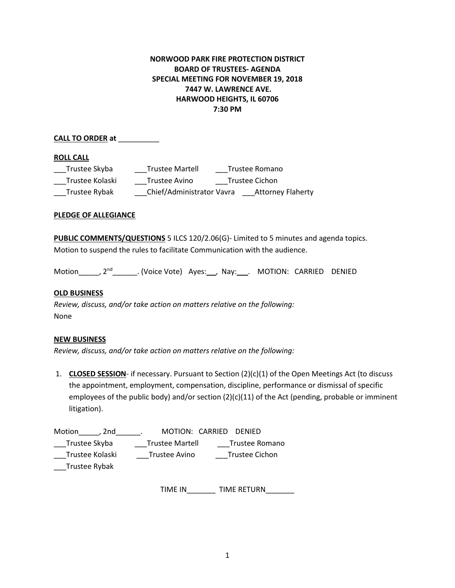# **NORWOOD PARK FIRE PROTECTION DISTRICT BOARD OF TRUSTEES- AGENDA SPECIAL MEETING FOR NOVEMBER 19, 2018 7447 W. LAWRENCE AVE. HARWOOD HEIGHTS, IL 60706 7:30 PM**

## **CALL TO ORDER at** \_\_\_\_\_\_\_\_\_\_

### **ROLL CALL**

| Trustee Skyba   | <b>Trustee Martell</b>    | Trustee Romano |                          |
|-----------------|---------------------------|----------------|--------------------------|
| Trustee Kolaski | Trustee Avino             | Trustee Cichon |                          |
| Trustee Rybak   | Chief/Administrator Vavra |                | <b>Attorney Flaherty</b> |

### **PLEDGE OF ALLEGIANCE**

**PUBLIC COMMENTS/QUESTIONS** 5 ILCS 120/2.06(G)- Limited to 5 minutes and agenda topics. Motion to suspend the rules to facilitate Communication with the audience.

Motion , 2<sup>nd</sup> . (Voice Vote) Ayes: , Nay: . MOTION: CARRIED DENIED

### **OLD BUSINESS**

*Review, discuss, and/or take action on matters relative on the following:*  None

### **NEW BUSINESS**

*Review, discuss, and/or take action on matters relative on the following:* 

1. **CLOSED SESSION**- if necessary. Pursuant to Section (2)(c)(1) of the Open Meetings Act (to discuss the appointment, employment, compensation, discipline, performance or dismissal of specific employees of the public body) and/or section (2)(c)(11) of the Act (pending, probable or imminent litigation).

| Motion<br>. 2nd | MOTION: CARRIED DENIED |                |
|-----------------|------------------------|----------------|
| Trustee Skyba   | <b>Trustee Martell</b> | Trustee Romano |
| Trustee Kolaski | Trustee Avino          | Trustee Cichon |
| Trustee Rybak   |                        |                |

TIME IN\_\_\_\_\_\_\_ TIME RETURN\_\_\_\_\_\_\_